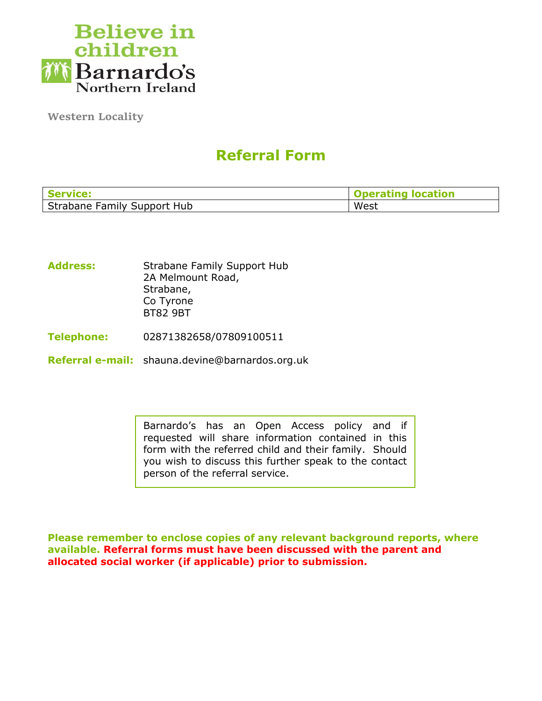

**Western Locality**

# **Referral Form**

| <b>Service:</b>             | <b>Iocation</b><br>ına |
|-----------------------------|------------------------|
| Strabane Family Support Hub | West                   |

Address: Strabane Family Support Hub 2A Melmount Road, Strabane, Co Tyrone BT82 9BT

**Telephone:** 02871382658/07809100511

**Referral e-mail:** shauna.devine@barnardos.org.uk

Barnardo's has an Open Access policy and if requested will share information contained in this form with the referred child and their family. Should you wish to discuss this further speak to the contact person of the referral service.

**Please remember to enclose copies of any relevant background reports, where available. Referral forms must have been discussed with the parent and allocated social worker (if applicable) prior to submission.**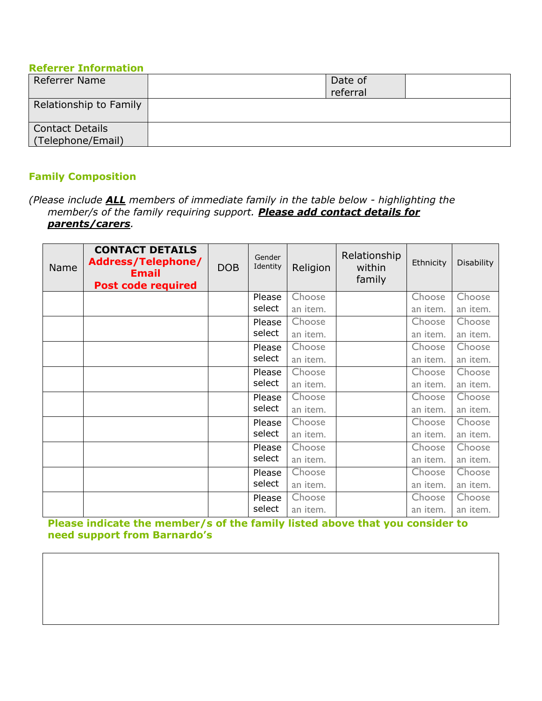### **Referrer Information**

| Referrer Name                               | Date of<br>referral |  |
|---------------------------------------------|---------------------|--|
| Relationship to Family                      |                     |  |
| <b>Contact Details</b><br>(Telephone/Email) |                     |  |

# **Family Composition**

*(Please include ALL members of immediate family in the table below - highlighting the member/s of the family requiring support. Please add contact details for parents/carers.*

| Name | <b>CONTACT DETAILS</b><br>Address/Telephone/<br><b>Email</b><br><b>Post code required</b> | <b>DOB</b> | Gender<br>Identity | Religion | Relationship<br>within<br>family | Ethnicity | <b>Disability</b> |
|------|-------------------------------------------------------------------------------------------|------------|--------------------|----------|----------------------------------|-----------|-------------------|
|      |                                                                                           |            | Please             | Choose   |                                  | Choose    | Choose            |
|      |                                                                                           |            | select             | an item. |                                  | an item.  | an item.          |
|      |                                                                                           |            | Please             | Choose   |                                  | Choose    | Choose            |
|      |                                                                                           |            | select             | an item. |                                  | an item.  | an item.          |
|      |                                                                                           |            | Please             | Choose   |                                  | Choose    | Choose            |
|      |                                                                                           |            | select             | an item. |                                  | an item.  | an item.          |
|      |                                                                                           |            | Please             | Choose   |                                  | Choose    | Choose            |
|      |                                                                                           |            | select             | an item. |                                  | an item.  | an item.          |
|      |                                                                                           |            | Please             | Choose   |                                  | Choose    | Choose            |
|      |                                                                                           |            | select             | an item. |                                  | an item.  | an item.          |
|      |                                                                                           |            | Please             | Choose   |                                  | Choose    | Choose            |
|      |                                                                                           |            | select             | an item. |                                  | an item.  | an item.          |
|      |                                                                                           |            | Please             | Choose   |                                  | Choose    | Choose            |
|      |                                                                                           |            | select             | an item. |                                  | an item.  | an item.          |
|      |                                                                                           |            | Please             | Choose   |                                  | Choose    | Choose            |
|      |                                                                                           |            | select             | an item. |                                  | an item.  | an item.          |
|      |                                                                                           |            | Please             | Choose   |                                  | Choose    | Choose            |
|      |                                                                                           |            | select             | an item. |                                  | an item.  | an item.          |

**Please indicate the member/s of the family listed above that you consider to need support from Barnardo's**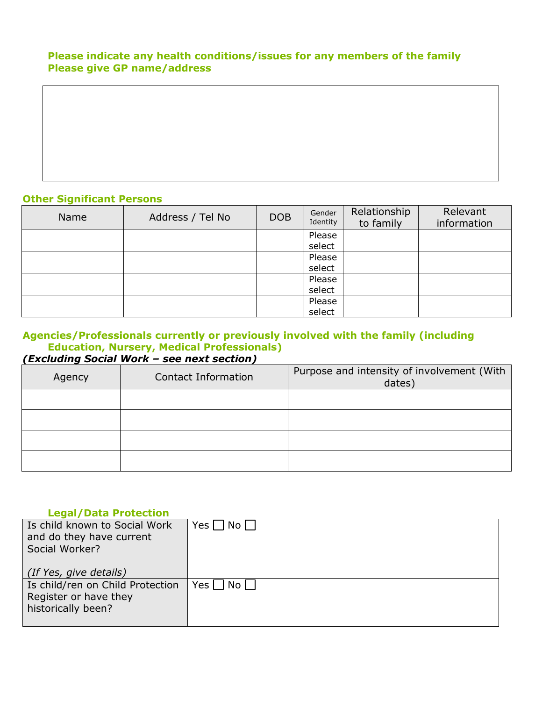# **Please indicate any health conditions/issues for any members of the family Please give GP name/address**

# **Other Significant Persons**

| Name | Address / Tel No | <b>DOB</b> | Gender<br>Identity | Relationship<br>to family | Relevant<br>information |
|------|------------------|------------|--------------------|---------------------------|-------------------------|
|      |                  |            | Please             |                           |                         |
|      |                  |            | select             |                           |                         |
|      |                  |            | Please             |                           |                         |
|      |                  |            | select             |                           |                         |
|      |                  |            | Please             |                           |                         |
|      |                  |            | select             |                           |                         |
|      |                  |            | Please             |                           |                         |
|      |                  |            | select             |                           |                         |

### **Agencies/Professionals currently or previously involved with the family (including Education, Nursery, Medical Professionals)** *(Excluding Social Work – see next section)*

| Agency | Contact Information | Purpose and intensity of involvement (With<br>dates) |
|--------|---------------------|------------------------------------------------------|
|        |                     |                                                      |
|        |                     |                                                      |
|        |                     |                                                      |
|        |                     |                                                      |

### **Legal/Data Protection**

| Is child known to Social Work<br>and do they have current<br>Social Worker?     | Yes     No |
|---------------------------------------------------------------------------------|------------|
| (If Yes, give details)                                                          |            |
| Is child/ren on Child Protection<br>Register or have they<br>historically been? | Yes     No |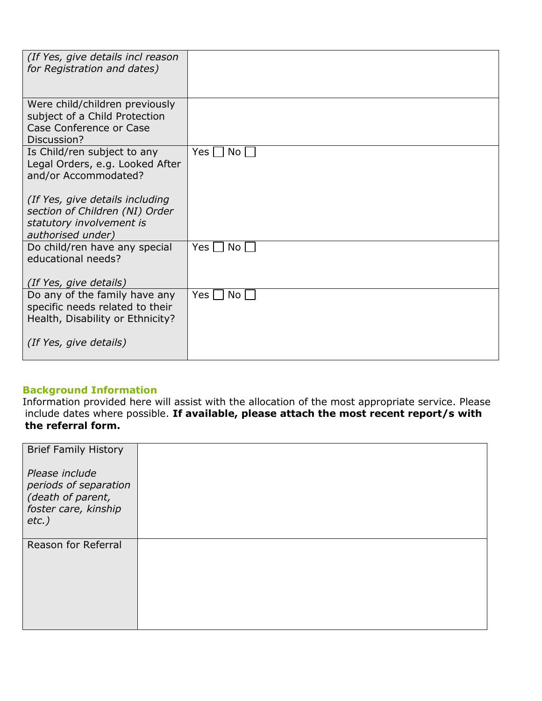| (If Yes, give details incl reason<br>for Registration and dates)                                                   |                    |
|--------------------------------------------------------------------------------------------------------------------|--------------------|
| Were child/children previously<br>subject of a Child Protection<br>Case Conference or Case<br>Discussion?          |                    |
| Is Child/ren subject to any<br>Legal Orders, e.g. Looked After<br>and/or Accommodated?                             | Yes  <br>No l      |
| (If Yes, give details including<br>section of Children (NI) Order<br>statutory involvement is<br>authorised under) |                    |
| Do child/ren have any special<br>educational needs?<br>(If Yes, give details)                                      | Yes l<br>No l      |
| Do any of the family have any<br>specific needs related to their<br>Health, Disability or Ethnicity?               | Yes $\Box$<br>No l |
| (If Yes, give details)                                                                                             |                    |

### **Background Information**

Information provided here will assist with the allocation of the most appropriate service. Please include dates where possible. **If available, please attach the most recent report/s with the referral form.**

| <b>Brief Family History</b>                                                                      |  |
|--------------------------------------------------------------------------------------------------|--|
| Please include<br>periods of separation<br>(death of parent,<br>foster care, kinship<br>$etc.$ ) |  |
| Reason for Referral                                                                              |  |
|                                                                                                  |  |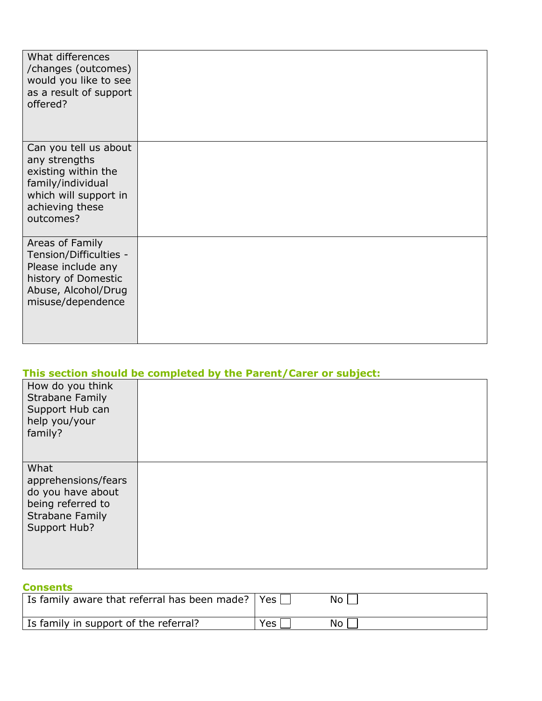| What differences<br>/changes (outcomes)<br>would you like to see<br>as a result of support<br>offered?                                      |  |
|---------------------------------------------------------------------------------------------------------------------------------------------|--|
| Can you tell us about<br>any strengths<br>existing within the<br>family/individual<br>which will support in<br>achieving these<br>outcomes? |  |
| Areas of Family<br>Tension/Difficulties -<br>Please include any<br>history of Domestic<br>Abuse, Alcohol/Drug<br>misuse/dependence          |  |

|                                                                                                                 | This section should be completed by the Parent/Carer or subject: |
|-----------------------------------------------------------------------------------------------------------------|------------------------------------------------------------------|
| How do you think<br><b>Strabane Family</b><br>Support Hub can<br>help you/your<br>family?                       |                                                                  |
| What<br>apprehensions/fears<br>do you have about<br>being referred to<br><b>Strabane Family</b><br>Support Hub? |                                                                  |

# **Consents**

| l Is family aware that referral has been made?   Yes [ |     | No. |
|--------------------------------------------------------|-----|-----|
| Is family in support of the referral?                  | Yes | No  |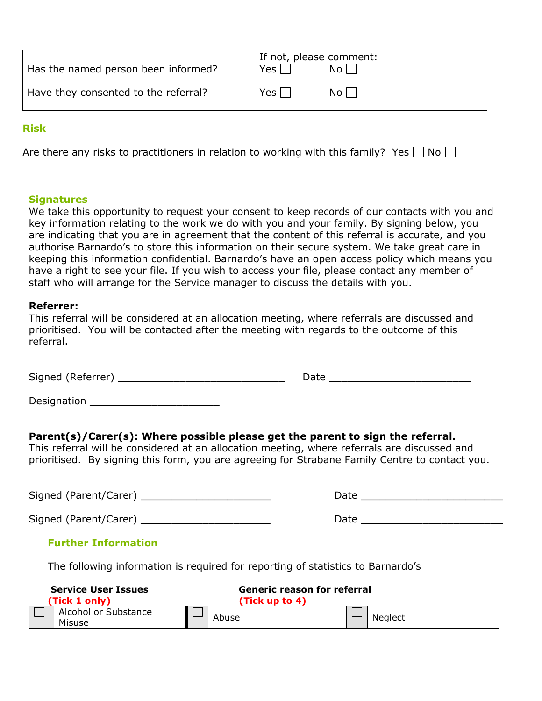|                                      | If not, please comment: |      |
|--------------------------------------|-------------------------|------|
| Has the named person been informed?  | Yes                     | No l |
| Have they consented to the referral? | $Yes \mid \mid$         | No L |

### **Risk**

Are there any risks to practitioners in relation to working with this family? Yes  $\Box$  No  $\Box$ 

#### **Signatures**

We take this opportunity to request your consent to keep records of our contacts with you and key information relating to the work we do with you and your family. By signing below, you are indicating that you are in agreement that the content of this referral is accurate, and you authorise Barnardo's to store this information on their secure system. We take great care in keeping this information confidential. Barnardo's have an open access policy which means you have a right to see your file. If you wish to access your file, please contact any member of staff who will arrange for the Service manager to discuss the details with you.

#### **Referrer:**

|           |  |  |                                                                                          | This referral will be considered at an allocation meeting, where referrals are discussed and |
|-----------|--|--|------------------------------------------------------------------------------------------|----------------------------------------------------------------------------------------------|
|           |  |  | prioritised. You will be contacted after the meeting with regards to the outcome of this |                                                                                              |
| referral. |  |  |                                                                                          |                                                                                              |

Signed (Referrer) \_\_\_\_\_\_\_\_\_\_\_\_\_\_\_\_\_\_\_\_\_\_\_\_\_\_\_ Date \_\_\_\_\_\_\_\_\_\_\_\_\_\_\_\_\_\_\_\_\_\_\_

# **Parent(s)/Carer(s): Where possible please get the parent to sign the referral.**

This referral will be considered at an allocation meeting, where referrals are discussed and prioritised. By signing this form, you are agreeing for Strabane Family Centre to contact you.

Signed (Parent/Carer) \_\_\_\_\_\_\_\_\_\_\_\_\_\_\_\_\_\_\_\_\_ Date \_\_\_\_\_\_\_\_\_\_\_\_\_\_\_\_\_\_\_\_\_\_\_

Signed (Parent/Carer) \_\_\_\_\_\_\_\_\_\_\_\_\_\_\_\_\_\_\_\_\_ Date \_\_\_\_\_\_\_\_\_\_\_\_\_\_\_\_\_\_\_\_\_\_\_

| Date |  |  |  |
|------|--|--|--|
|      |  |  |  |

### **Further Information**

The following information is required for reporting of statistics to Barnardo's

| <b>Service User Issues</b><br>(Tick 1 only) | Generic reason for referral<br>(Tick up to 4) |         |
|---------------------------------------------|-----------------------------------------------|---------|
| Alcohol or Substance<br>Misuse              | Abuse                                         | Neglect |